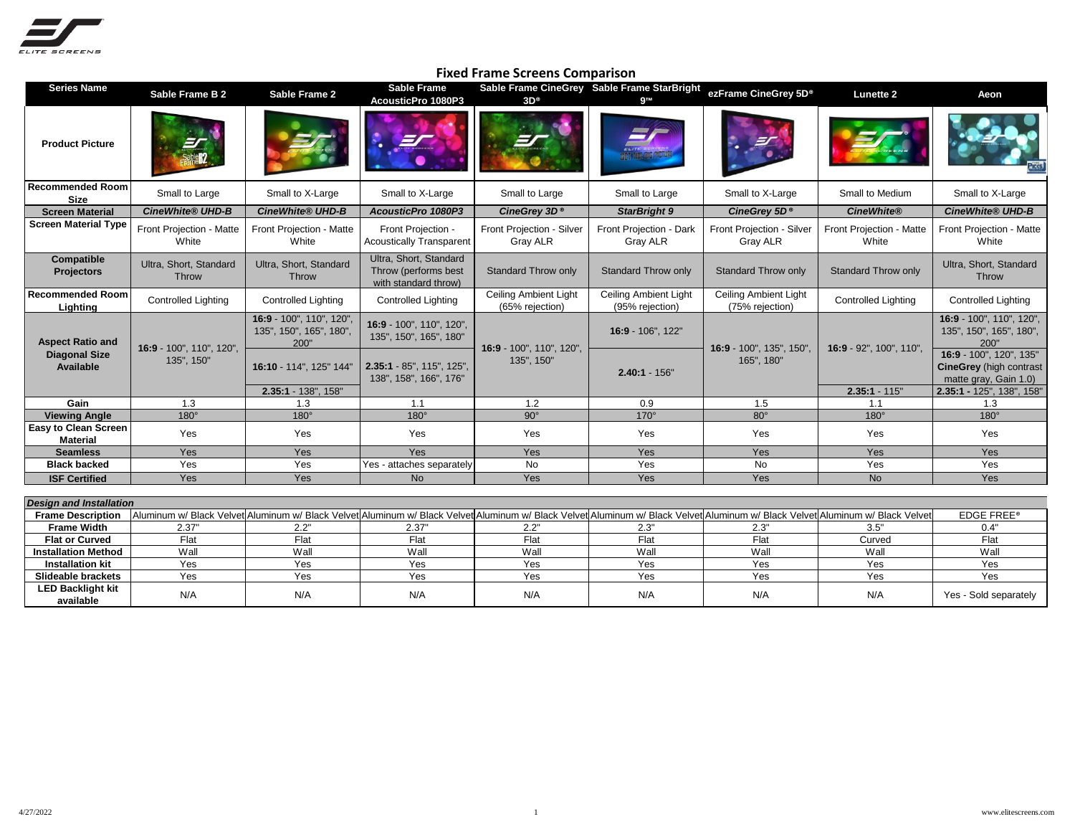

| <b>Series Name</b>                                           | Sable Frame B 2                        | Sable Frame 2                                               | Sable Frame<br>AcousticPro 1080P3                                                                                                                                              | $3D^{\circ}$                                 | Sable Frame CineGrey Sable Frame StarBright     | ezFrame CineGrey 5D <sup>®</sup>         | <b>Lunette 2</b>                           | Aeon                                                                                   |
|--------------------------------------------------------------|----------------------------------------|-------------------------------------------------------------|--------------------------------------------------------------------------------------------------------------------------------------------------------------------------------|----------------------------------------------|-------------------------------------------------|------------------------------------------|--------------------------------------------|----------------------------------------------------------------------------------------|
| <b>Product Picture</b>                                       |                                        |                                                             | EI                                                                                                                                                                             |                                              |                                                 |                                          |                                            |                                                                                        |
| <b>Recommended Room</b><br><b>Size</b>                       | Small to Large                         | Small to X-Large                                            | Small to X-Large                                                                                                                                                               | Small to Large                               | Small to Large                                  | Small to X-Large                         | Small to Medium                            | Small to X-Large                                                                       |
| <b>Screen Material</b>                                       | <b>CineWhite® UHD-B</b>                | <b>CineWhite® UHD-B</b>                                     | AcousticPro 1080P3                                                                                                                                                             | CineGrey 3D <sup>®</sup>                     | <b>StarBright 9</b>                             | CineGrey 5D <sup>®</sup>                 | <b>CineWhite®</b>                          | <b>CineWhite® UHD-B</b>                                                                |
| <b>Screen Material Type</b>                                  | Front Projection - Matte<br>White      | Front Projection - Matte<br>White                           | Front Projection -<br><b>Acoustically Transparent</b>                                                                                                                          | Front Projection - Silver<br><b>Gray ALR</b> | Front Projection - Dark<br>Gray ALR             | Front Projection - Silver<br>Gray ALR    | Front Projection - Matte<br>White          | Front Projection - Matte<br>White                                                      |
| Compatible<br><b>Projectors</b>                              | Ultra, Short, Standard<br>Throw        | Ultra, Short, Standard<br><b>Throw</b>                      | Ultra, Short, Standard<br>Throw (performs best<br>with standard throw)                                                                                                         | <b>Standard Throw only</b>                   | <b>Standard Throw only</b>                      | <b>Standard Throw only</b>               | <b>Standard Throw only</b>                 | Ultra, Short, Standard<br>Throw                                                        |
| <b>Recommended Room</b><br>Lighting                          | <b>Controlled Lighting</b>             | <b>Controlled Lighting</b>                                  | <b>Controlled Lighting</b>                                                                                                                                                     | Ceiling Ambient Light<br>(65% rejection)     | <b>Ceiling Ambient Light</b><br>(95% rejection) | Ceiling Ambient Light<br>(75% rejection) | <b>Controlled Lighting</b>                 | <b>Controlled Lighting</b>                                                             |
| <b>Aspect Ratio and</b><br><b>Diagonal Size</b><br>Available | 16:9 - 100", 110", 120",<br>135", 150" | 16:9 - 100", 110", 120",<br>135", 150", 165", 180",<br>200" | 16:9 - 100", 110", 120",<br>135", 150", 165", 180"                                                                                                                             | 16:9 - 100", 110", 120",<br>135", 150"       | 16:9 - 106", 122"                               | 16:9 - 100", 135", 150",<br>165", 180"   | 16:9 - 92", 100", 110",<br>$2.35:1 - 115"$ | 16:9 - 100", 110", 120",<br>135", 150", 165", 180",<br>200"<br>16:9 - 100", 120", 135" |
|                                                              |                                        | 16:10 - 114", 125" 144"                                     | 2.35:1 - 85", 115", 125",<br>138", 158", 166", 176"                                                                                                                            |                                              | $2.40:1 - 156"$                                 |                                          |                                            | <b>CineGrey</b> (high contrast<br>matte gray, Gain 1.0)                                |
| Gain                                                         | 1.3                                    | 2.35:1 - 138", 158"<br>1.3                                  | 1.1                                                                                                                                                                            | 1.2                                          | 0.9                                             | 1.5                                      | 1.1                                        | 2.35:1 - 125", 138", 158"<br>1.3                                                       |
| <b>Viewing Angle</b>                                         | $180^\circ$                            | $180^\circ$                                                 | $180^\circ$                                                                                                                                                                    | $90^\circ$                                   | $170^\circ$                                     | $80^\circ$                               | $180^\circ$                                | $180^\circ$                                                                            |
| <b>Easy to Clean Screen</b><br><b>Material</b>               | Yes                                    | Yes                                                         | Yes                                                                                                                                                                            | Yes                                          | Yes                                             | Yes                                      | Yes                                        | Yes                                                                                    |
| <b>Seamless</b>                                              | Yes                                    | Yes                                                         | Yes                                                                                                                                                                            | Yes                                          | Yes                                             | Yes                                      | Yes                                        | Yes                                                                                    |
| <b>Black backed</b>                                          | Yes                                    | Yes                                                         | Yes - attaches separately                                                                                                                                                      | $\overline{N}$                               | Yes                                             | $\overline{N}$                           | Yes                                        | Yes                                                                                    |
| <b>ISF Certified</b>                                         | Yes                                    | Yes                                                         | <b>No</b>                                                                                                                                                                      | Yes                                          | Yes                                             | Yes                                      | <b>No</b>                                  | Yes                                                                                    |
|                                                              |                                        |                                                             |                                                                                                                                                                                |                                              |                                                 |                                          |                                            |                                                                                        |
| <b>Design and Installation</b>                               |                                        |                                                             |                                                                                                                                                                                |                                              |                                                 |                                          |                                            |                                                                                        |
| <b>Frame Description</b>                                     |                                        |                                                             | Aluminum w/ Black Velvet Aluminum w/ Black Velvet Aluminum w/ Black Velvet Aluminum w/ Black Velvet Aluminum w/ Black Velvet Aluminum w/ Black Velvet Aluminum w/ Black Velvet |                                              |                                                 |                                          |                                            | <b>EDGE FREE®</b>                                                                      |
| <b>Frame Width</b>                                           | 2.37"                                  | 2.2"                                                        | 2.37"                                                                                                                                                                          | 2.2"                                         | 2.3"                                            | 2.3"                                     | 3.5"                                       | 0.4"                                                                                   |
| <b>Flat or Curved</b>                                        | Flat                                   | Flat                                                        | Flat                                                                                                                                                                           | Flat                                         | Flat                                            | $F$ lat                                  | Curved                                     | Flat                                                                                   |
| <b>Installation Method</b>                                   | Wall                                   | Wall                                                        | Wall                                                                                                                                                                           | Wall                                         | Wall                                            | Wall                                     | Wall                                       | Wall                                                                                   |
| <b>Installation kit</b>                                      | Yes                                    | Yes                                                         | Yes                                                                                                                                                                            | Yes                                          | Yes                                             | Yes                                      | Yes                                        | Yes                                                                                    |
| <b>Slideable brackets</b>                                    | Yes                                    | Yes                                                         | Yes                                                                                                                                                                            | Yes                                          | Yes                                             | Yes                                      | Yes                                        | Yes                                                                                    |
| <b>LED Backlight kit</b><br>available                        | N/A                                    | N/A                                                         | N/A                                                                                                                                                                            | N/A                                          | N/A                                             | N/A                                      | N/A                                        | Yes - Sold separately                                                                  |

## **Fixed Frame Screens Comparison**